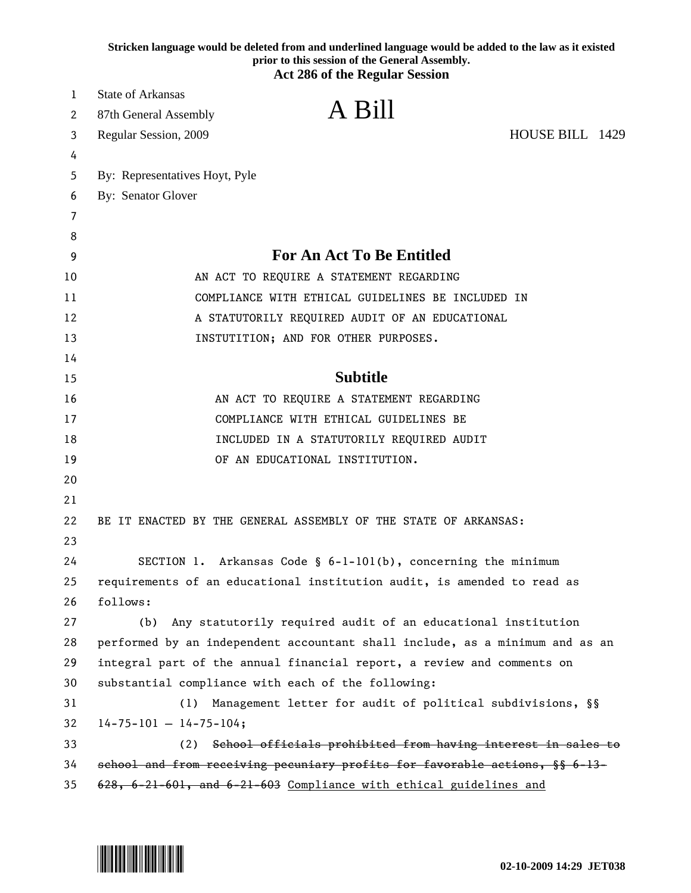|          | Stricken language would be deleted from and underlined language would be added to the law as it existed<br>prior to this session of the General Assembly.<br><b>Act 286 of the Regular Session</b> |
|----------|----------------------------------------------------------------------------------------------------------------------------------------------------------------------------------------------------|
| 1        | <b>State of Arkansas</b>                                                                                                                                                                           |
| 2        | A Bill<br>87th General Assembly                                                                                                                                                                    |
| 3        | HOUSE BILL 1429<br>Regular Session, 2009                                                                                                                                                           |
| 4        |                                                                                                                                                                                                    |
| 5        | By: Representatives Hoyt, Pyle                                                                                                                                                                     |
| 6        | By: Senator Glover                                                                                                                                                                                 |
| 7        |                                                                                                                                                                                                    |
| 8        |                                                                                                                                                                                                    |
| 9        | For An Act To Be Entitled                                                                                                                                                                          |
| 10       | AN ACT TO REQUIRE A STATEMENT REGARDING                                                                                                                                                            |
| 11       | COMPLIANCE WITH ETHICAL GUIDELINES BE INCLUDED IN                                                                                                                                                  |
| 12       | A STATUTORILY REQUIRED AUDIT OF AN EDUCATIONAL                                                                                                                                                     |
| 13       | INSTUTITION; AND FOR OTHER PURPOSES.                                                                                                                                                               |
| 14       |                                                                                                                                                                                                    |
| 15       | <b>Subtitle</b>                                                                                                                                                                                    |
| 16       | AN ACT TO REQUIRE A STATEMENT REGARDING                                                                                                                                                            |
| 17       | COMPLIANCE WITH ETHICAL GUIDELINES BE                                                                                                                                                              |
| 18       | INCLUDED IN A STATUTORILY REQUIRED AUDIT                                                                                                                                                           |
| 19       | OF AN EDUCATIONAL INSTITUTION.                                                                                                                                                                     |
| 20       |                                                                                                                                                                                                    |
| 21       |                                                                                                                                                                                                    |
| 22       | BE IT ENACTED BY THE GENERAL ASSEMBLY OF THE STATE OF ARKANSAS:                                                                                                                                    |
| 23       |                                                                                                                                                                                                    |
| 24       | SECTION 1. Arkansas Code $\S$ 6-1-101(b), concerning the minimum                                                                                                                                   |
| 25       | requirements of an educational institution audit, is amended to read as                                                                                                                            |
| 26       | follows:                                                                                                                                                                                           |
| 27       | Any statutorily required audit of an educational institution<br>(b)                                                                                                                                |
| 28       | performed by an independent accountant shall include, as a minimum and as an                                                                                                                       |
| 29       | integral part of the annual financial report, a review and comments on                                                                                                                             |
| 30       | substantial compliance with each of the following:                                                                                                                                                 |
| 31       | (1) Management letter for audit of political subdivisions, §§                                                                                                                                      |
| 32<br>33 | $14 - 75 - 101 - 14 - 75 - 104;$<br>(2) School officials prohibited from having interest in sales to                                                                                               |
| 34       | school and from receiving pecuniary profits for favorable actions, §§ 6-13-                                                                                                                        |
| 35       | 628, 6-21-601, and 6-21-603 Compliance with ethical guidelines and                                                                                                                                 |
|          |                                                                                                                                                                                                    |